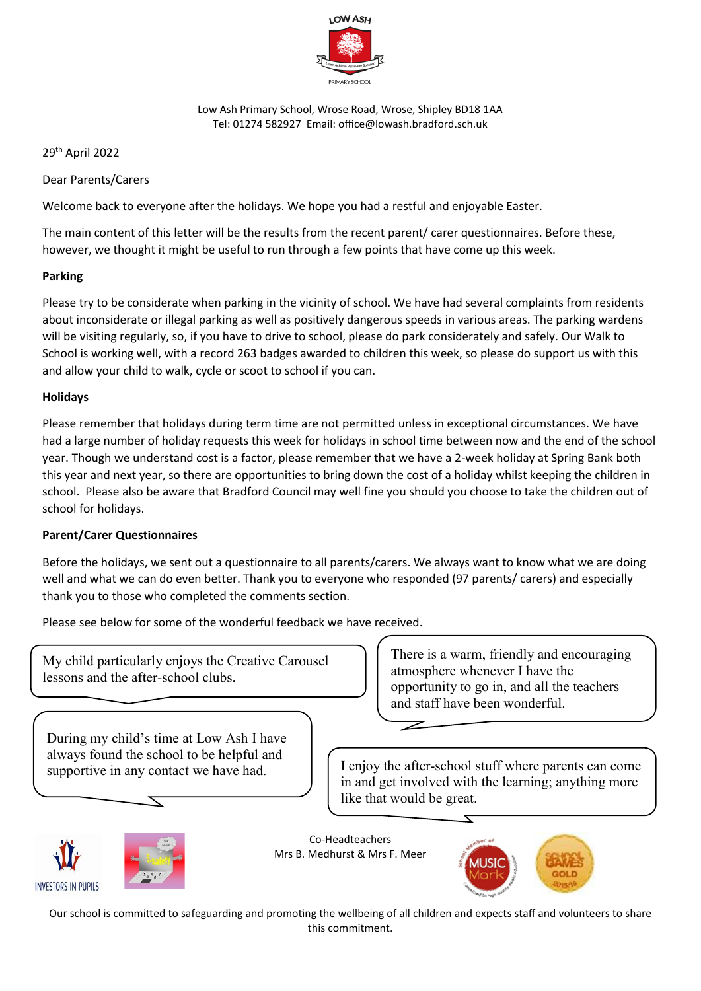

Low Ash Primary School, Wrose Road, Wrose, Shipley BD18 1AA Tel: 01274 582927 Email: office@lowash.bradford.sch.uk

29th April 2022

Dear Parents/Carers

Welcome back to everyone after the holidays. We hope you had a restful and enjoyable Easter.

The main content of this letter will be the results from the recent parent/ carer questionnaires. Before these, however, we thought it might be useful to run through a few points that have come up this week.

### **Parking**

Please try to be considerate when parking in the vicinity of school. We have had several complaints from residents about inconsiderate or illegal parking as well as positively dangerous speeds in various areas. The parking wardens will be visiting regularly, so, if you have to drive to school, please do park considerately and safely. Our Walk to School is working well, with a record 263 badges awarded to children this week, so please do support us with this and allow your child to walk, cycle or scoot to school if you can.

### **Holidays**

Please remember that holidays during term time are not permitted unless in exceptional circumstances. We have had a large number of holiday requests this week for holidays in school time between now and the end of the school year. Though we understand cost is a factor, please remember that we have a 2-week holiday at Spring Bank both this year and next year, so there are opportunities to bring down the cost of a holiday whilst keeping the children in school. Please also be aware that Bradford Council may well fine you should you choose to take the children out of school for holidays.

### **Parent/Carer Questionnaires**

Before the holidays, we sent out a questionnaire to all parents/carers. We always want to know what we are doing well and what we can do even better. Thank you to everyone who responded (97 parents/ carers) and especially thank you to those who completed the comments section.

Please see below for some of the wonderful feedback we have received.

My child particularly enjoys the Creative Carousel lessons and the after-school clubs.

There is a warm, friendly and encouraging atmosphere whenever I have the opportunity to go in, and all the teachers and staff have been wonderful.

During my child's time at Low Ash I have always found the school to be helpful and supportive in any contact we have had.

I enjoy the after-school stuff where parents can come in and get involved with the learning; anything more like that would be great.

 $\overline{\mathbb{Z}}$ 





Co-Headteachers Mrs B. Medhurst & Mrs F. Meer



Our school is committed to safeguarding and promoting the wellbeing of all children and expects staff and volunteers to share this commitment.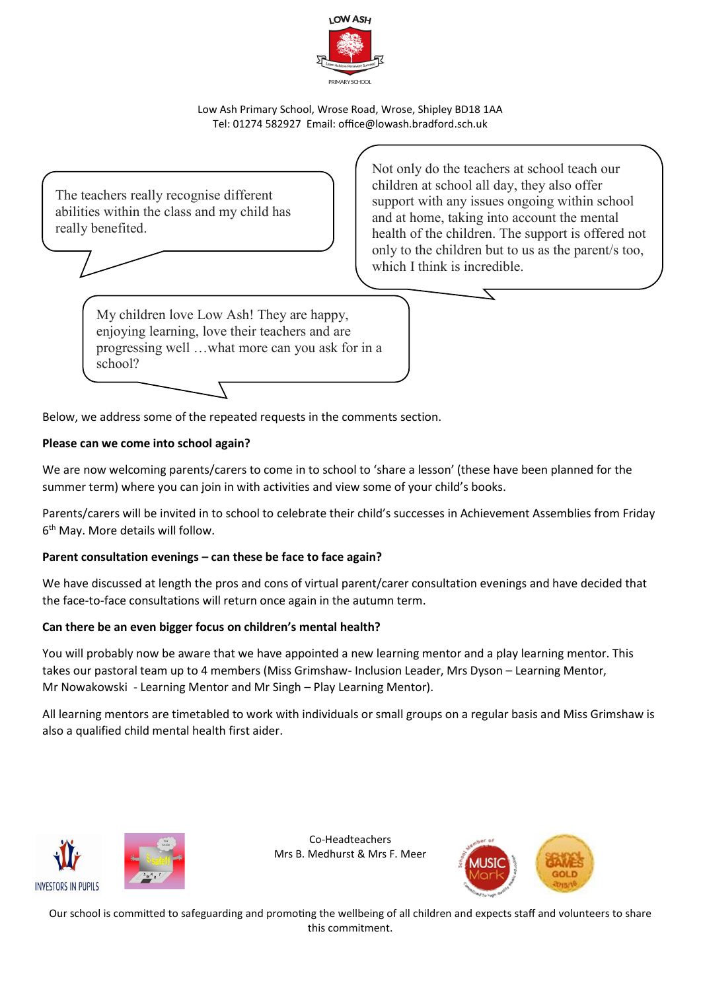

Low Ash Primary School, Wrose Road, Wrose, Shipley BD18 1AA Tel: 01274 582927 Email: office@lowash.bradford.sch.uk

The teachers really recognise different abilities within the class and my child has really benefited.

Not only do the teachers at school teach our children at school all day, they also offer support with any issues ongoing within school and at home, taking into account the mental health of the children. The support is offered not only to the children but to us as the parent/s too, which I think is incredible.

My children love Low Ash! They are happy, enjoying learning, love their teachers and are progressing well …what more can you ask for in a school?

Below, we address some of the repeated requests in the comments section.

# **Please can we come into school again?**

We are now welcoming parents/carers to come in to school to 'share a lesson' (these have been planned for the summer term) where you can join in with activities and view some of your child's books.

Parents/carers will be invited in to school to celebrate their child's successes in Achievement Assemblies from Friday 6 th May. More details will follow.

# **Parent consultation evenings – can these be face to face again?**

We have discussed at length the pros and cons of virtual parent/carer consultation evenings and have decided that the face-to-face consultations will return once again in the autumn term.

### **Can there be an even bigger focus on children's mental health?**

You will probably now be aware that we have appointed a new learning mentor and a play learning mentor. This takes our pastoral team up to 4 members (Miss Grimshaw- Inclusion Leader, Mrs Dyson – Learning Mentor, Mr Nowakowski - Learning Mentor and Mr Singh – Play Learning Mentor).

All learning mentors are timetabled to work with individuals or small groups on a regular basis and Miss Grimshaw is also a qualified child mental health first aider.



Co-Headteachers Mrs B. Medhurst & Mrs F. Meer



Our school is committed to safeguarding and promoting the wellbeing of all children and expects staff and volunteers to share this commitment.